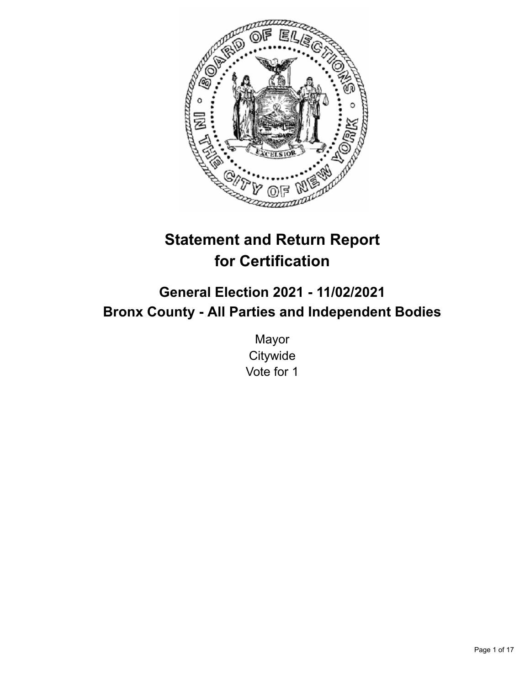

# **Statement and Return Report for Certification**

## **General Election 2021 - 11/02/2021 Bronx County - All Parties and Independent Bodies**

Mayor **Citywide** Vote for 1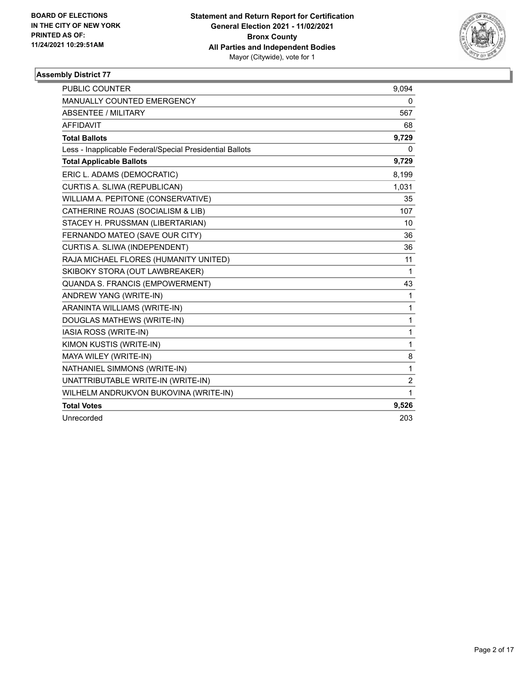

| <b>PUBLIC COUNTER</b>                                    | 9,094          |
|----------------------------------------------------------|----------------|
| <b>MANUALLY COUNTED EMERGENCY</b>                        | 0              |
| <b>ABSENTEE / MILITARY</b>                               | 567            |
| <b>AFFIDAVIT</b>                                         | 68             |
| <b>Total Ballots</b>                                     | 9,729          |
| Less - Inapplicable Federal/Special Presidential Ballots | 0              |
| <b>Total Applicable Ballots</b>                          | 9,729          |
| ERIC L. ADAMS (DEMOCRATIC)                               | 8,199          |
| CURTIS A. SLIWA (REPUBLICAN)                             | 1,031          |
| WILLIAM A. PEPITONE (CONSERVATIVE)                       | 35             |
| CATHERINE ROJAS (SOCIALISM & LIB)                        | 107            |
| STACEY H. PRUSSMAN (LIBERTARIAN)                         | 10             |
| FERNANDO MATEO (SAVE OUR CITY)                           | 36             |
| CURTIS A. SLIWA (INDEPENDENT)                            | 36             |
| RAJA MICHAEL FLORES (HUMANITY UNITED)                    | 11             |
| SKIBOKY STORA (OUT LAWBREAKER)                           | 1              |
| QUANDA S. FRANCIS (EMPOWERMENT)                          | 43             |
| ANDREW YANG (WRITE-IN)                                   | $\mathbf{1}$   |
| ARANINTA WILLIAMS (WRITE-IN)                             | 1              |
| DOUGLAS MATHEWS (WRITE-IN)                               | 1              |
| IASIA ROSS (WRITE-IN)                                    | 1              |
| KIMON KUSTIS (WRITE-IN)                                  | 1              |
| MAYA WILEY (WRITE-IN)                                    | 8              |
| NATHANIEL SIMMONS (WRITE-IN)                             | 1              |
| UNATTRIBUTABLE WRITE-IN (WRITE-IN)                       | $\overline{c}$ |
| WILHELM ANDRUKVON BUKOVINA (WRITE-IN)                    | 1              |
| <b>Total Votes</b>                                       | 9,526          |
| Unrecorded                                               | 203            |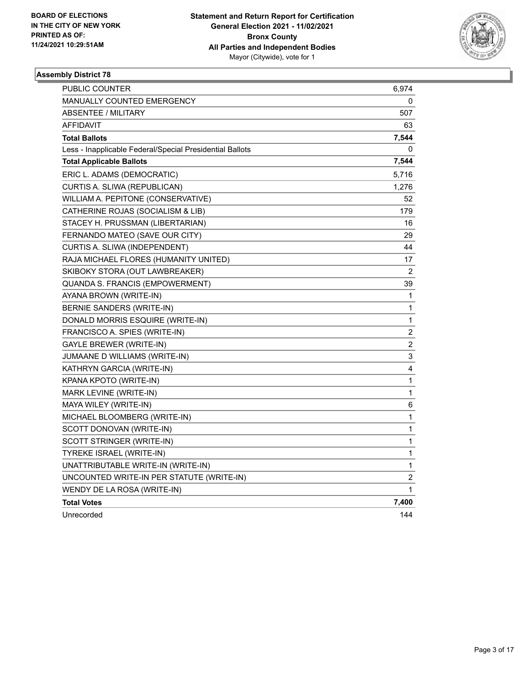

| PUBLIC COUNTER                                           | 6,974                   |
|----------------------------------------------------------|-------------------------|
| MANUALLY COUNTED EMERGENCY                               | 0                       |
| ABSENTEE / MILITARY                                      | 507                     |
| AFFIDAVIT                                                | 63                      |
| <b>Total Ballots</b>                                     | 7,544                   |
| Less - Inapplicable Federal/Special Presidential Ballots | 0                       |
| <b>Total Applicable Ballots</b>                          | 7,544                   |
| ERIC L. ADAMS (DEMOCRATIC)                               | 5,716                   |
| CURTIS A. SLIWA (REPUBLICAN)                             | 1,276                   |
| WILLIAM A. PEPITONE (CONSERVATIVE)                       | 52                      |
| CATHERINE ROJAS (SOCIALISM & LIB)                        | 179                     |
| STACEY H. PRUSSMAN (LIBERTARIAN)                         | 16                      |
| FERNANDO MATEO (SAVE OUR CITY)                           | 29                      |
| CURTIS A. SLIWA (INDEPENDENT)                            | 44                      |
| RAJA MICHAEL FLORES (HUMANITY UNITED)                    | 17                      |
| SKIBOKY STORA (OUT LAWBREAKER)                           | 2                       |
| QUANDA S. FRANCIS (EMPOWERMENT)                          | 39                      |
| AYANA BROWN (WRITE-IN)                                   | 1                       |
| BERNIE SANDERS (WRITE-IN)                                | 1                       |
| DONALD MORRIS ESQUIRE (WRITE-IN)                         | 1                       |
| FRANCISCO A. SPIES (WRITE-IN)                            | 2                       |
| <b>GAYLE BREWER (WRITE-IN)</b>                           | $\overline{\mathbf{c}}$ |
| JUMAANE D WILLIAMS (WRITE-IN)                            | 3                       |
| KATHRYN GARCIA (WRITE-IN)                                | 4                       |
| KPANA KPOTO (WRITE-IN)                                   | 1                       |
| MARK LEVINE (WRITE-IN)                                   | $\mathbf{1}$            |
| MAYA WILEY (WRITE-IN)                                    | 6                       |
| MICHAEL BLOOMBERG (WRITE-IN)                             | 1                       |
| SCOTT DONOVAN (WRITE-IN)                                 | $\mathbf 1$             |
| SCOTT STRINGER (WRITE-IN)                                | 1                       |
| TYREKE ISRAEL (WRITE-IN)                                 | 1                       |
| UNATTRIBUTABLE WRITE-IN (WRITE-IN)                       | 1                       |
| UNCOUNTED WRITE-IN PER STATUTE (WRITE-IN)                | 2                       |
| WENDY DE LA ROSA (WRITE-IN)                              | 1                       |
| <b>Total Votes</b>                                       | 7,400                   |
| Unrecorded                                               | 144                     |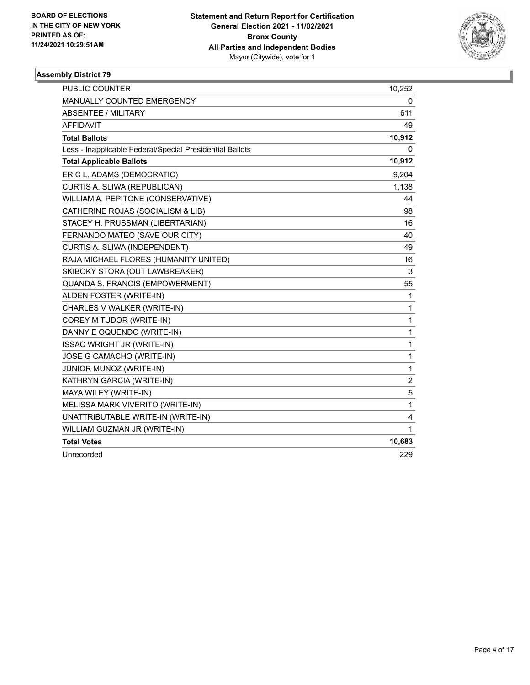

| <b>PUBLIC COUNTER</b>                                    | 10,252         |
|----------------------------------------------------------|----------------|
| MANUALLY COUNTED EMERGENCY                               | 0              |
| <b>ABSENTEE / MILITARY</b>                               | 611            |
| <b>AFFIDAVIT</b>                                         | 49             |
| <b>Total Ballots</b>                                     | 10,912         |
| Less - Inapplicable Federal/Special Presidential Ballots | 0              |
| <b>Total Applicable Ballots</b>                          | 10,912         |
| ERIC L. ADAMS (DEMOCRATIC)                               | 9,204          |
| CURTIS A. SLIWA (REPUBLICAN)                             | 1,138          |
| WILLIAM A. PEPITONE (CONSERVATIVE)                       | 44             |
| CATHERINE ROJAS (SOCIALISM & LIB)                        | 98             |
| STACEY H. PRUSSMAN (LIBERTARIAN)                         | 16             |
| FERNANDO MATEO (SAVE OUR CITY)                           | 40             |
| CURTIS A. SLIWA (INDEPENDENT)                            | 49             |
| RAJA MICHAEL FLORES (HUMANITY UNITED)                    | 16             |
| SKIBOKY STORA (OUT LAWBREAKER)                           | 3              |
| QUANDA S. FRANCIS (EMPOWERMENT)                          | 55             |
| ALDEN FOSTER (WRITE-IN)                                  | 1              |
| CHARLES V WALKER (WRITE-IN)                              | 1              |
| COREY M TUDOR (WRITE-IN)                                 | $\mathbf{1}$   |
| DANNY E OQUENDO (WRITE-IN)                               | 1              |
| <b>ISSAC WRIGHT JR (WRITE-IN)</b>                        | 1              |
| JOSE G CAMACHO (WRITE-IN)                                | 1              |
| JUNIOR MUNOZ (WRITE-IN)                                  | 1              |
| KATHRYN GARCIA (WRITE-IN)                                | $\overline{c}$ |
| MAYA WILEY (WRITE-IN)                                    | 5              |
| MELISSA MARK VIVERITO (WRITE-IN)                         | 1              |
| UNATTRIBUTABLE WRITE-IN (WRITE-IN)                       | 4              |
| WILLIAM GUZMAN JR (WRITE-IN)                             | 1              |
| <b>Total Votes</b>                                       | 10,683         |
| Unrecorded                                               | 229            |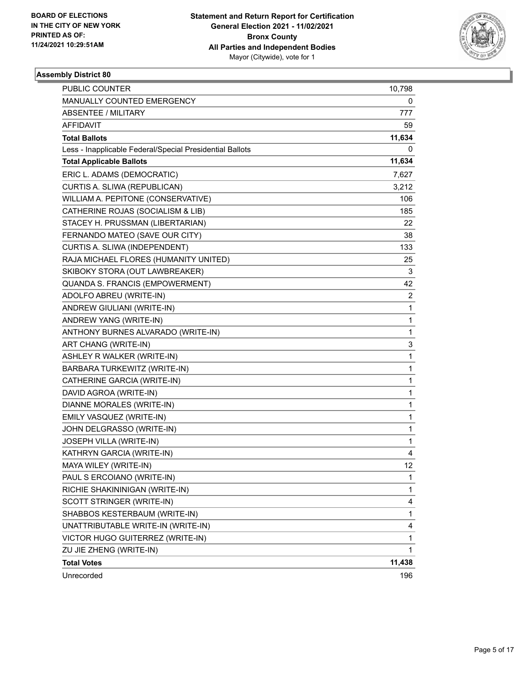

| PUBLIC COUNTER                                           | 10,798         |
|----------------------------------------------------------|----------------|
| MANUALLY COUNTED EMERGENCY                               | 0              |
| ABSENTEE / MILITARY                                      | 777            |
| AFFIDAVIT                                                | 59.            |
| <b>Total Ballots</b>                                     | 11,634         |
| Less - Inapplicable Federal/Special Presidential Ballots | 0              |
| <b>Total Applicable Ballots</b>                          | 11,634         |
| ERIC L. ADAMS (DEMOCRATIC)                               | 7,627          |
| CURTIS A. SLIWA (REPUBLICAN)                             | 3,212          |
| WILLIAM A. PEPITONE (CONSERVATIVE)                       | 106            |
| CATHERINE ROJAS (SOCIALISM & LIB)                        | 185            |
| STACEY H. PRUSSMAN (LIBERTARIAN)                         | 22             |
| FERNANDO MATEO (SAVE OUR CITY)                           | 38             |
| CURTIS A. SLIWA (INDEPENDENT)                            | 133            |
| RAJA MICHAEL FLORES (HUMANITY UNITED)                    | 25             |
| SKIBOKY STORA (OUT LAWBREAKER)                           | 3              |
| QUANDA S. FRANCIS (EMPOWERMENT)                          | 42             |
| ADOLFO ABREU (WRITE-IN)                                  | $\overline{a}$ |
| ANDREW GIULIANI (WRITE-IN)                               | $\mathbf{1}$   |
| ANDREW YANG (WRITE-IN)                                   | 1              |
| ANTHONY BURNES ALVARADO (WRITE-IN)                       | 1              |
| ART CHANG (WRITE-IN)                                     | 3              |
| ASHLEY R WALKER (WRITE-IN)                               | 1              |
| BARBARA TURKEWITZ (WRITE-IN)                             | 1              |
| CATHERINE GARCIA (WRITE-IN)                              | 1              |
| DAVID AGROA (WRITE-IN)                                   | 1              |
| DIANNE MORALES (WRITE-IN)                                | 1              |
| EMILY VASQUEZ (WRITE-IN)                                 | 1              |
| JOHN DELGRASSO (WRITE-IN)                                | 1              |
| JOSEPH VILLA (WRITE-IN)                                  | 1              |
| KATHRYN GARCIA (WRITE-IN)                                | 4              |
| MAYA WILEY (WRITE-IN)                                    | 12             |
| PAUL S ERCOIANO (WRITE-IN)                               | 1              |
| RICHIE SHAKININIGAN (WRITE-IN)                           | 1              |
| SCOTT STRINGER (WRITE-IN)                                | 4              |
| SHABBOS KESTERBAUM (WRITE-IN)                            | 1              |
| UNATTRIBUTABLE WRITE-IN (WRITE-IN)                       | 4              |
| VICTOR HUGO GUITERREZ (WRITE-IN)                         | 1              |
| ZU JIE ZHENG (WRITE-IN)                                  | 1              |
| <b>Total Votes</b>                                       | 11,438         |
| Unrecorded                                               | 196            |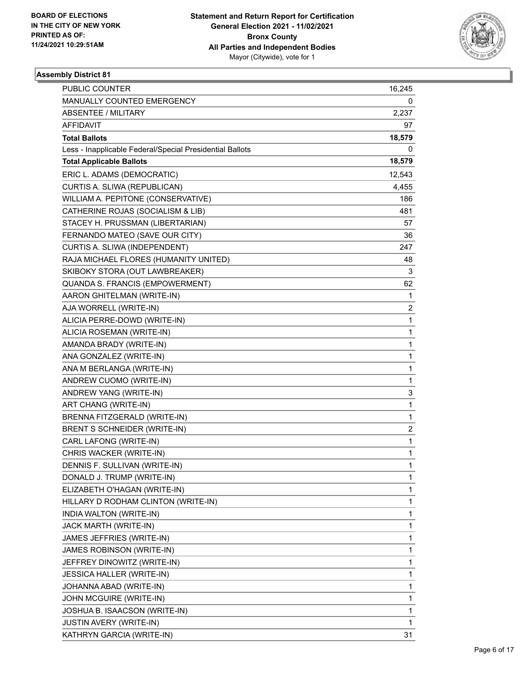

| PUBLIC COUNTER                                           | 16,245                  |
|----------------------------------------------------------|-------------------------|
| MANUALLY COUNTED EMERGENCY                               | 0                       |
| <b>ABSENTEE / MILITARY</b>                               | 2,237                   |
| AFFIDAVIT                                                | 97                      |
| <b>Total Ballots</b>                                     | 18,579                  |
| Less - Inapplicable Federal/Special Presidential Ballots | 0                       |
| <b>Total Applicable Ballots</b>                          | 18,579                  |
| ERIC L. ADAMS (DEMOCRATIC)                               | 12,543                  |
| CURTIS A. SLIWA (REPUBLICAN)                             | 4,455                   |
| WILLIAM A. PEPITONE (CONSERVATIVE)                       | 186                     |
| CATHERINE ROJAS (SOCIALISM & LIB)                        | 481                     |
| STACEY H. PRUSSMAN (LIBERTARIAN)                         | 57                      |
| FERNANDO MATEO (SAVE OUR CITY)                           | 36                      |
| CURTIS A. SLIWA (INDEPENDENT)                            | 247                     |
| RAJA MICHAEL FLORES (HUMANITY UNITED)                    | 48                      |
| SKIBOKY STORA (OUT LAWBREAKER)                           | 3                       |
| QUANDA S. FRANCIS (EMPOWERMENT)                          | 62                      |
| AARON GHITELMAN (WRITE-IN)                               | 1                       |
| AJA WORRELL (WRITE-IN)                                   | $\overline{\mathbf{c}}$ |
| ALICIA PERRE-DOWD (WRITE-IN)                             | $\mathbf{1}$            |
| ALICIA ROSEMAN (WRITE-IN)                                | $\mathbf{1}$            |
| AMANDA BRADY (WRITE-IN)                                  | $\mathbf{1}$            |
| ANA GONZALEZ (WRITE-IN)                                  | $\mathbf{1}$            |
| ANA M BERLANGA (WRITE-IN)                                | 1                       |
| ANDREW CUOMO (WRITE-IN)                                  | $\mathbf{1}$            |
| ANDREW YANG (WRITE-IN)                                   | 3                       |
| ART CHANG (WRITE-IN)                                     | $\mathbf{1}$            |
| BRENNA FITZGERALD (WRITE-IN)                             | $\mathbf{1}$            |
| BRENT S SCHNEIDER (WRITE-IN)                             | $\overline{c}$          |
| CARL LAFONG (WRITE-IN)                                   | $\mathbf{1}$            |
| CHRIS WACKER (WRITE-IN)                                  | $\mathbf{1}$            |
| DENNIS F. SULLIVAN (WRITE-IN)                            | $\mathbf{1}$            |
| DONALD J. TRUMP (WRITE-IN)                               | 1                       |
| ELIZABETH O'HAGAN (WRITE-IN)                             | 1                       |
| HILLARY D RODHAM CLINTON (WRITE-IN)                      | $\mathbf{1}$            |
| INDIA WALTON (WRITE-IN)                                  | 1                       |
| JACK MARTH (WRITE-IN)                                    | 1                       |
| JAMES JEFFRIES (WRITE-IN)                                | $\mathbf{1}$            |
| JAMES ROBINSON (WRITE-IN)                                | 1                       |
| JEFFREY DINOWITZ (WRITE-IN)                              | $\mathbf{1}$            |
| <b>JESSICA HALLER (WRITE-IN)</b>                         | $\mathbf{1}$            |
| JOHANNA ABAD (WRITE-IN)                                  | 1                       |
| JOHN MCGUIRE (WRITE-IN)                                  | $\mathbf{1}$            |
| JOSHUA B. ISAACSON (WRITE-IN)                            | $\mathbf{1}$            |
| JUSTIN AVERY (WRITE-IN)                                  | 1                       |
| KATHRYN GARCIA (WRITE-IN)                                | 31                      |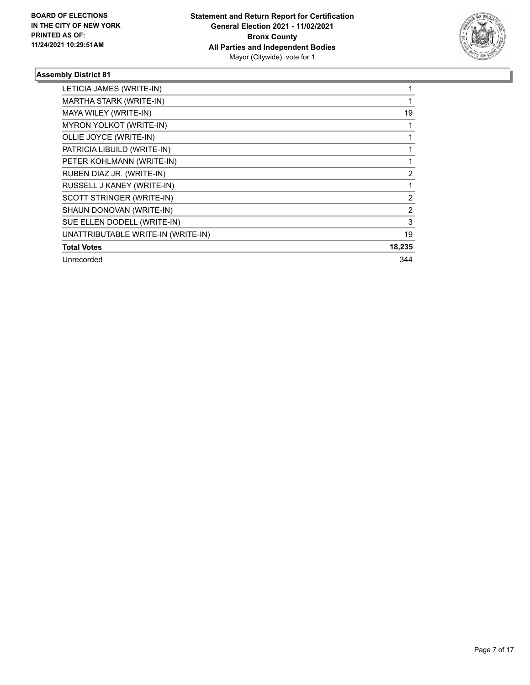

| LETICIA JAMES (WRITE-IN)           |                |
|------------------------------------|----------------|
| MARTHA STARK (WRITE-IN)            |                |
| MAYA WILEY (WRITE-IN)              | 19             |
| MYRON YOLKOT (WRITE-IN)            |                |
| OLLIE JOYCE (WRITE-IN)             |                |
| PATRICIA LIBUILD (WRITE-IN)        |                |
| PETER KOHLMANN (WRITE-IN)          |                |
| RUBEN DIAZ JR. (WRITE-IN)          | $\overline{2}$ |
| RUSSELL J KANEY (WRITE-IN)         |                |
| SCOTT STRINGER (WRITE-IN)          | $\overline{2}$ |
| SHAUN DONOVAN (WRITE-IN)           | 2              |
| SUE ELLEN DODELL (WRITE-IN)        | 3              |
| UNATTRIBUTABLE WRITE-IN (WRITE-IN) | 19             |
| <b>Total Votes</b>                 | 18,235         |
| Unrecorded                         | 344            |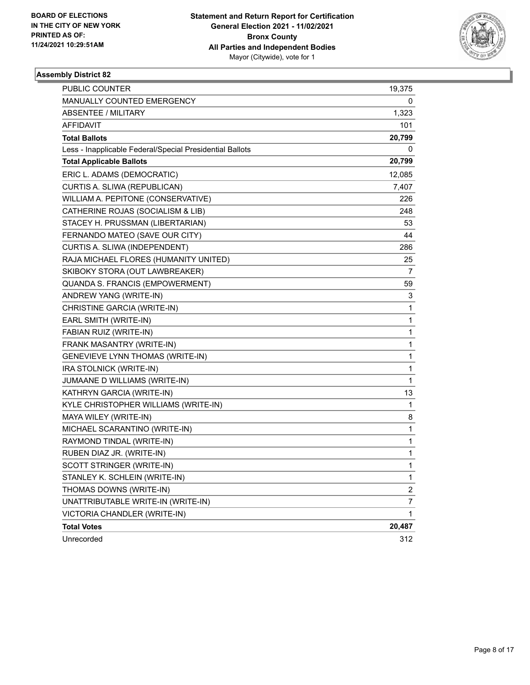

| <b>PUBLIC COUNTER</b>                                    | 19,375                  |
|----------------------------------------------------------|-------------------------|
| MANUALLY COUNTED EMERGENCY                               | 0                       |
| <b>ABSENTEE / MILITARY</b>                               | 1,323                   |
| AFFIDAVIT                                                | 101                     |
| <b>Total Ballots</b>                                     | 20,799                  |
| Less - Inapplicable Federal/Special Presidential Ballots | 0                       |
| <b>Total Applicable Ballots</b>                          | 20,799                  |
| ERIC L. ADAMS (DEMOCRATIC)                               | 12,085                  |
| CURTIS A. SLIWA (REPUBLICAN)                             | 7,407                   |
| WILLIAM A. PEPITONE (CONSERVATIVE)                       | 226                     |
| CATHERINE ROJAS (SOCIALISM & LIB)                        | 248                     |
| STACEY H. PRUSSMAN (LIBERTARIAN)                         | 53                      |
| FERNANDO MATEO (SAVE OUR CITY)                           | 44                      |
| CURTIS A. SLIWA (INDEPENDENT)                            | 286                     |
| RAJA MICHAEL FLORES (HUMANITY UNITED)                    | 25                      |
| SKIBOKY STORA (OUT LAWBREAKER)                           | 7                       |
| QUANDA S. FRANCIS (EMPOWERMENT)                          | 59                      |
| ANDREW YANG (WRITE-IN)                                   | 3                       |
| CHRISTINE GARCIA (WRITE-IN)                              | 1                       |
| EARL SMITH (WRITE-IN)                                    | 1                       |
| FABIAN RUIZ (WRITE-IN)                                   | 1                       |
| FRANK MASANTRY (WRITE-IN)                                | 1                       |
| <b>GENEVIEVE LYNN THOMAS (WRITE-IN)</b>                  | 1                       |
| IRA STOLNICK (WRITE-IN)                                  | 1                       |
| JUMAANE D WILLIAMS (WRITE-IN)                            | 1                       |
| KATHRYN GARCIA (WRITE-IN)                                | 13                      |
| KYLE CHRISTOPHER WILLIAMS (WRITE-IN)                     | 1                       |
| MAYA WILEY (WRITE-IN)                                    | 8                       |
| MICHAEL SCARANTINO (WRITE-IN)                            | 1                       |
| RAYMOND TINDAL (WRITE-IN)                                | 1                       |
| RUBEN DIAZ JR. (WRITE-IN)                                | 1                       |
| SCOTT STRINGER (WRITE-IN)                                | 1                       |
| STANLEY K. SCHLEIN (WRITE-IN)                            | 1                       |
| THOMAS DOWNS (WRITE-IN)                                  | $\overline{\mathbf{c}}$ |
| UNATTRIBUTABLE WRITE-IN (WRITE-IN)                       | $\overline{7}$          |
| VICTORIA CHANDLER (WRITE-IN)                             | 1                       |
| <b>Total Votes</b>                                       | 20,487                  |
| Unrecorded                                               | 312                     |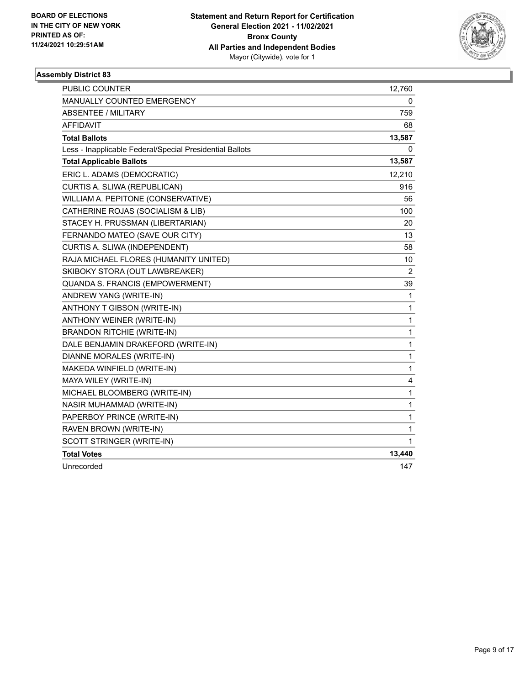

| PUBLIC COUNTER                                           | 12,760         |
|----------------------------------------------------------|----------------|
| MANUALLY COUNTED EMERGENCY                               | 0              |
| <b>ABSENTEE / MILITARY</b>                               | 759            |
| <b>AFFIDAVIT</b>                                         | 68             |
| <b>Total Ballots</b>                                     | 13,587         |
| Less - Inapplicable Federal/Special Presidential Ballots | 0              |
| <b>Total Applicable Ballots</b>                          | 13,587         |
| ERIC L. ADAMS (DEMOCRATIC)                               | 12,210         |
| CURTIS A. SLIWA (REPUBLICAN)                             | 916            |
| WILLIAM A. PEPITONE (CONSERVATIVE)                       | 56             |
| CATHERINE ROJAS (SOCIALISM & LIB)                        | 100            |
| STACEY H. PRUSSMAN (LIBERTARIAN)                         | 20             |
| FERNANDO MATEO (SAVE OUR CITY)                           | 13             |
| CURTIS A. SLIWA (INDEPENDENT)                            | 58             |
| RAJA MICHAEL FLORES (HUMANITY UNITED)                    | 10             |
| SKIBOKY STORA (OUT LAWBREAKER)                           | $\overline{c}$ |
| QUANDA S. FRANCIS (EMPOWERMENT)                          | 39             |
| ANDREW YANG (WRITE-IN)                                   | $\mathbf{1}$   |
| ANTHONY T GIBSON (WRITE-IN)                              | $\mathbf{1}$   |
| ANTHONY WEINER (WRITE-IN)                                | $\mathbf{1}$   |
| <b>BRANDON RITCHIE (WRITE-IN)</b>                        | $\mathbf{1}$   |
| DALE BENJAMIN DRAKEFORD (WRITE-IN)                       | 1              |
| DIANNE MORALES (WRITE-IN)                                | $\mathbf{1}$   |
| MAKEDA WINFIELD (WRITE-IN)                               | $\mathbf{1}$   |
| MAYA WILEY (WRITE-IN)                                    | 4              |
| MICHAEL BLOOMBERG (WRITE-IN)                             | $\mathbf{1}$   |
| NASIR MUHAMMAD (WRITE-IN)                                | $\mathbf{1}$   |
| PAPERBOY PRINCE (WRITE-IN)                               | $\mathbf{1}$   |
| RAVEN BROWN (WRITE-IN)                                   | $\mathbf{1}$   |
| SCOTT STRINGER (WRITE-IN)                                | 1              |
| <b>Total Votes</b>                                       | 13,440         |
| Unrecorded                                               | 147            |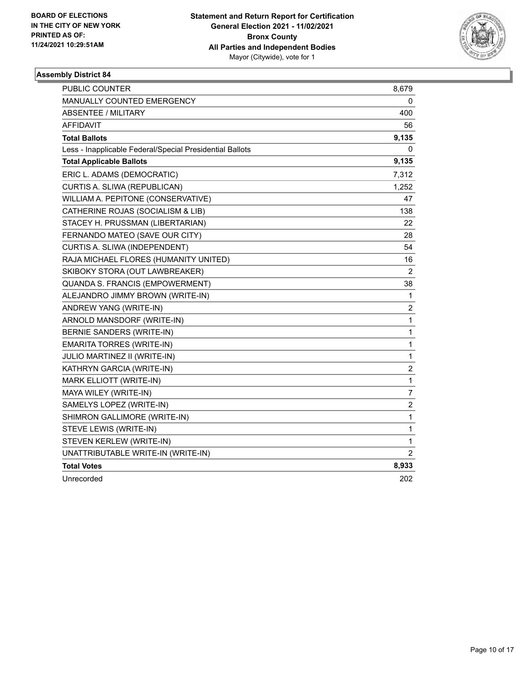

| <b>PUBLIC COUNTER</b>                                    | 8,679                   |
|----------------------------------------------------------|-------------------------|
| <b>MANUALLY COUNTED EMERGENCY</b>                        | 0                       |
| <b>ABSENTEE / MILITARY</b>                               | 400                     |
| <b>AFFIDAVIT</b>                                         | 56                      |
| <b>Total Ballots</b>                                     | 9,135                   |
| Less - Inapplicable Federal/Special Presidential Ballots | 0                       |
| <b>Total Applicable Ballots</b>                          | 9,135                   |
| ERIC L. ADAMS (DEMOCRATIC)                               | 7,312                   |
| CURTIS A. SLIWA (REPUBLICAN)                             | 1,252                   |
| WILLIAM A. PEPITONE (CONSERVATIVE)                       | 47                      |
| CATHERINE ROJAS (SOCIALISM & LIB)                        | 138                     |
| STACEY H. PRUSSMAN (LIBERTARIAN)                         | 22                      |
| FERNANDO MATEO (SAVE OUR CITY)                           | 28                      |
| CURTIS A. SLIWA (INDEPENDENT)                            | 54                      |
| RAJA MICHAEL FLORES (HUMANITY UNITED)                    | 16                      |
| SKIBOKY STORA (OUT LAWBREAKER)                           | 2                       |
| QUANDA S. FRANCIS (EMPOWERMENT)                          | 38                      |
| ALEJANDRO JIMMY BROWN (WRITE-IN)                         | $\mathbf{1}$            |
| ANDREW YANG (WRITE-IN)                                   | $\overline{\mathbf{c}}$ |
| ARNOLD MANSDORF (WRITE-IN)                               | $\mathbf{1}$            |
| BERNIE SANDERS (WRITE-IN)                                | $\mathbf{1}$            |
| <b>EMARITA TORRES (WRITE-IN)</b>                         | $\mathbf{1}$            |
| JULIO MARTINEZ II (WRITE-IN)                             | $\mathbf{1}$            |
| KATHRYN GARCIA (WRITE-IN)                                | $\overline{c}$          |
| MARK ELLIOTT (WRITE-IN)                                  | $\mathbf{1}$            |
| MAYA WILEY (WRITE-IN)                                    | $\overline{7}$          |
| SAMELYS LOPEZ (WRITE-IN)                                 | $\overline{c}$          |
| SHIMRON GALLIMORE (WRITE-IN)                             | $\mathbf{1}$            |
| STEVE LEWIS (WRITE-IN)                                   | $\mathbf{1}$            |
| STEVEN KERLEW (WRITE-IN)                                 | 1                       |
| UNATTRIBUTABLE WRITE-IN (WRITE-IN)                       | $\overline{2}$          |
| <b>Total Votes</b>                                       | 8,933                   |
| Unrecorded                                               | 202                     |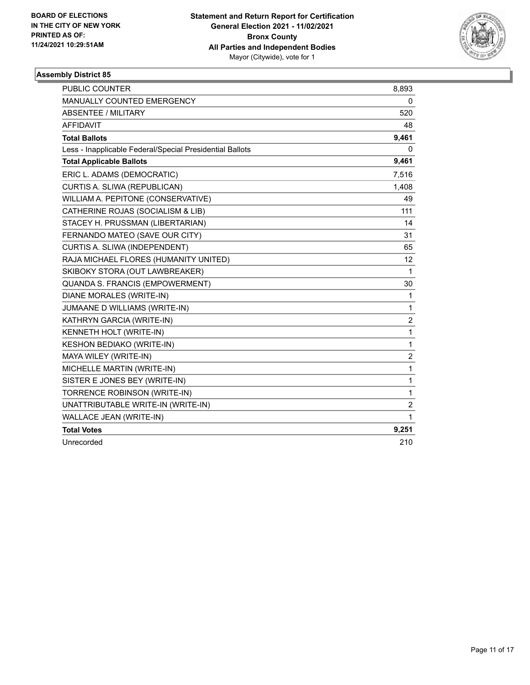

| <b>PUBLIC COUNTER</b>                                    | 8,893          |
|----------------------------------------------------------|----------------|
| MANUALLY COUNTED EMERGENCY                               | 0              |
| <b>ABSENTEE / MILITARY</b>                               | 520            |
| <b>AFFIDAVIT</b>                                         | 48             |
| <b>Total Ballots</b>                                     | 9,461          |
| Less - Inapplicable Federal/Special Presidential Ballots | 0              |
| <b>Total Applicable Ballots</b>                          | 9,461          |
| ERIC L. ADAMS (DEMOCRATIC)                               | 7,516          |
| CURTIS A. SLIWA (REPUBLICAN)                             | 1,408          |
| WILLIAM A. PEPITONE (CONSERVATIVE)                       | 49             |
| CATHERINE ROJAS (SOCIALISM & LIB)                        | 111            |
| STACEY H. PRUSSMAN (LIBERTARIAN)                         | 14             |
| FERNANDO MATEO (SAVE OUR CITY)                           | 31             |
| CURTIS A. SLIWA (INDEPENDENT)                            | 65             |
| RAJA MICHAEL FLORES (HUMANITY UNITED)                    | 12             |
| SKIBOKY STORA (OUT LAWBREAKER)                           | 1              |
| QUANDA S. FRANCIS (EMPOWERMENT)                          | 30             |
| DIANE MORALES (WRITE-IN)                                 | 1              |
| JUMAANE D WILLIAMS (WRITE-IN)                            | 1              |
| KATHRYN GARCIA (WRITE-IN)                                | 2              |
| KENNETH HOLT (WRITE-IN)                                  | 1              |
| KESHON BEDIAKO (WRITE-IN)                                | 1              |
| MAYA WILEY (WRITE-IN)                                    | $\overline{2}$ |
| MICHELLE MARTIN (WRITE-IN)                               | 1              |
| SISTER E JONES BEY (WRITE-IN)                            | 1              |
| TORRENCE ROBINSON (WRITE-IN)                             | $\mathbf{1}$   |
| UNATTRIBUTABLE WRITE-IN (WRITE-IN)                       | $\overline{2}$ |
| WALLACE JEAN (WRITE-IN)                                  | 1              |
| <b>Total Votes</b>                                       | 9,251          |
| Unrecorded                                               | 210            |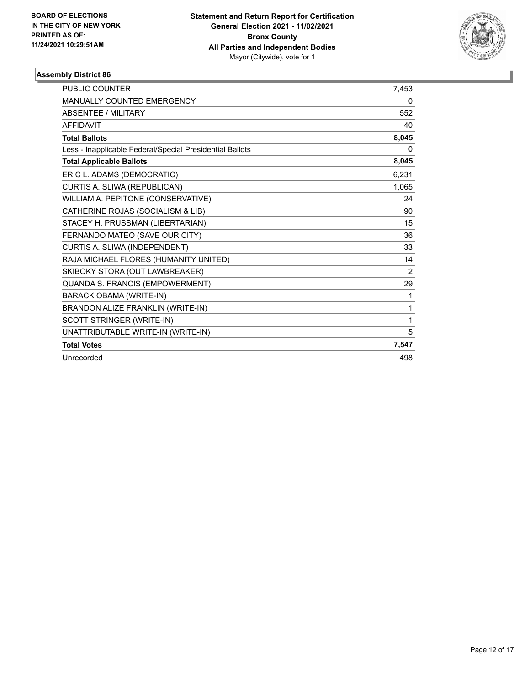

| <b>PUBLIC COUNTER</b>                                    | 7,453 |
|----------------------------------------------------------|-------|
| MANUALLY COUNTED EMERGENCY                               | 0     |
| <b>ABSENTEE / MILITARY</b>                               | 552   |
| <b>AFFIDAVIT</b>                                         | 40    |
| <b>Total Ballots</b>                                     | 8,045 |
| Less - Inapplicable Federal/Special Presidential Ballots | 0     |
| <b>Total Applicable Ballots</b>                          | 8,045 |
| ERIC L. ADAMS (DEMOCRATIC)                               | 6,231 |
| CURTIS A. SLIWA (REPUBLICAN)                             | 1,065 |
| WILLIAM A. PEPITONE (CONSERVATIVE)                       | 24    |
| CATHERINE ROJAS (SOCIALISM & LIB)                        | 90    |
| STACEY H. PRUSSMAN (LIBERTARIAN)                         | 15    |
| FERNANDO MATEO (SAVE OUR CITY)                           | 36    |
| CURTIS A. SLIWA (INDEPENDENT)                            | 33    |
| RAJA MICHAEL FLORES (HUMANITY UNITED)                    | 14    |
| SKIBOKY STORA (OUT LAWBREAKER)                           | 2     |
| QUANDA S. FRANCIS (EMPOWERMENT)                          | 29    |
| <b>BARACK OBAMA (WRITE-IN)</b>                           | 1     |
| BRANDON ALIZE FRANKLIN (WRITE-IN)                        | 1     |
| SCOTT STRINGER (WRITE-IN)                                | 1     |
| UNATTRIBUTABLE WRITE-IN (WRITE-IN)                       | 5     |
| <b>Total Votes</b>                                       | 7,547 |
| Unrecorded                                               | 498   |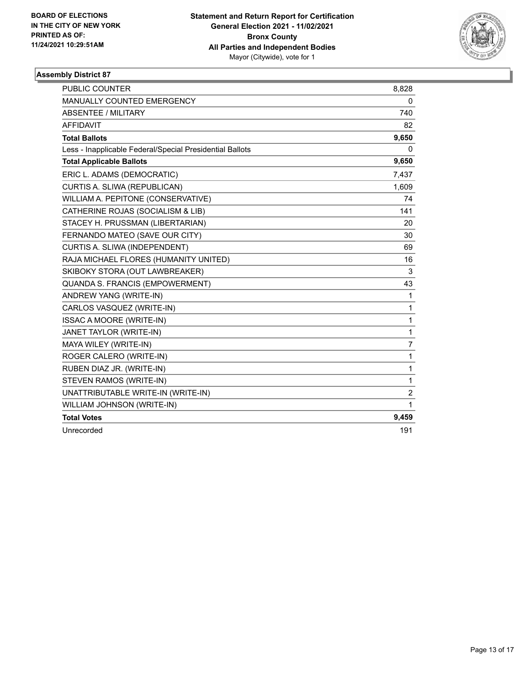

| <b>PUBLIC COUNTER</b>                                    | 8,828          |
|----------------------------------------------------------|----------------|
| <b>MANUALLY COUNTED EMERGENCY</b>                        | 0              |
| ABSENTEE / MILITARY                                      | 740            |
| <b>AFFIDAVIT</b>                                         | 82             |
| <b>Total Ballots</b>                                     | 9,650          |
| Less - Inapplicable Federal/Special Presidential Ballots | 0              |
| <b>Total Applicable Ballots</b>                          | 9,650          |
| ERIC L. ADAMS (DEMOCRATIC)                               | 7,437          |
| CURTIS A. SLIWA (REPUBLICAN)                             | 1,609          |
| WILLIAM A. PEPITONE (CONSERVATIVE)                       | 74             |
| CATHERINE ROJAS (SOCIALISM & LIB)                        | 141            |
| STACEY H. PRUSSMAN (LIBERTARIAN)                         | 20             |
| FERNANDO MATEO (SAVE OUR CITY)                           | 30             |
| CURTIS A. SLIWA (INDEPENDENT)                            | 69             |
| RAJA MICHAEL FLORES (HUMANITY UNITED)                    | 16             |
| SKIBOKY STORA (OUT LAWBREAKER)                           | 3              |
| QUANDA S. FRANCIS (EMPOWERMENT)                          | 43             |
| ANDREW YANG (WRITE-IN)                                   | 1              |
| CARLOS VASQUEZ (WRITE-IN)                                | 1              |
| ISSAC A MOORE (WRITE-IN)                                 | 1              |
| JANET TAYLOR (WRITE-IN)                                  | 1              |
| MAYA WILEY (WRITE-IN)                                    | $\overline{7}$ |
| ROGER CALERO (WRITE-IN)                                  | 1              |
| RUBEN DIAZ JR. (WRITE-IN)                                | 1              |
| STEVEN RAMOS (WRITE-IN)                                  | $\mathbf{1}$   |
| UNATTRIBUTABLE WRITE-IN (WRITE-IN)                       | $\overline{c}$ |
| WILLIAM JOHNSON (WRITE-IN)                               | 1              |
| <b>Total Votes</b>                                       | 9,459          |
| Unrecorded                                               | 191            |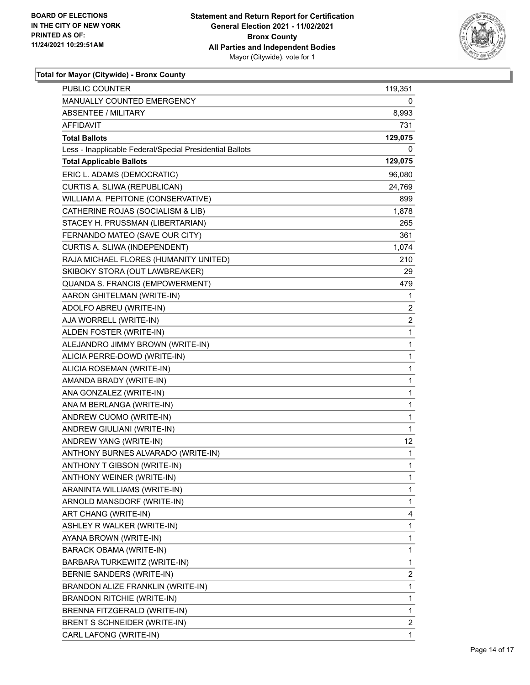

| <b>PUBLIC COUNTER</b>                                    | 119,351        |
|----------------------------------------------------------|----------------|
| <b>MANUALLY COUNTED EMERGENCY</b>                        | 0              |
| <b>ABSENTEE / MILITARY</b>                               | 8,993          |
| AFFIDAVIT                                                | 731            |
| <b>Total Ballots</b>                                     | 129,075        |
| Less - Inapplicable Federal/Special Presidential Ballots | 0              |
| <b>Total Applicable Ballots</b>                          | 129,075        |
| ERIC L. ADAMS (DEMOCRATIC)                               | 96,080         |
| CURTIS A. SLIWA (REPUBLICAN)                             | 24,769         |
| WILLIAM A. PEPITONE (CONSERVATIVE)                       | 899            |
| CATHERINE ROJAS (SOCIALISM & LIB)                        | 1,878          |
| STACEY H. PRUSSMAN (LIBERTARIAN)                         | 265            |
| FERNANDO MATEO (SAVE OUR CITY)                           | 361            |
| CURTIS A. SLIWA (INDEPENDENT)                            | 1,074          |
| RAJA MICHAEL FLORES (HUMANITY UNITED)                    | 210            |
| SKIBOKY STORA (OUT LAWBREAKER)                           | 29             |
| QUANDA S. FRANCIS (EMPOWERMENT)                          | 479            |
| AARON GHITELMAN (WRITE-IN)                               | 1              |
| ADOLFO ABREU (WRITE-IN)                                  | 2              |
| AJA WORRELL (WRITE-IN)                                   | $\overline{c}$ |
| ALDEN FOSTER (WRITE-IN)                                  | 1              |
| ALEJANDRO JIMMY BROWN (WRITE-IN)                         | $\mathbf{1}$   |
| ALICIA PERRE-DOWD (WRITE-IN)                             | $\mathbf 1$    |
| ALICIA ROSEMAN (WRITE-IN)                                | 1              |
| AMANDA BRADY (WRITE-IN)                                  | 1              |
| ANA GONZALEZ (WRITE-IN)                                  | $\mathbf{1}$   |
| ANA M BERLANGA (WRITE-IN)                                | 1              |
| ANDREW CUOMO (WRITE-IN)                                  | 1              |
| ANDREW GIULIANI (WRITE-IN)                               | 1              |
| ANDREW YANG (WRITE-IN)                                   | 12             |
| ANTHONY BURNES ALVARADO (WRITE-IN)                       | 1              |
| ANTHONY T GIBSON (WRITE-IN)                              | $\mathbf{1}$   |
| ANTHONY WEINER (WRITE-IN)                                | 1              |
| ARANINTA WILLIAMS (WRITE-IN)                             | 1              |
| ARNOLD MANSDORF (WRITE-IN)                               | 1              |
| ART CHANG (WRITE-IN)                                     | 4              |
| ASHLEY R WALKER (WRITE-IN)                               | 1              |
| AYANA BROWN (WRITE-IN)                                   | 1              |
| BARACK OBAMA (WRITE-IN)                                  | 1              |
| BARBARA TURKEWITZ (WRITE-IN)                             | 1              |
| BERNIE SANDERS (WRITE-IN)                                | 2              |
| BRANDON ALIZE FRANKLIN (WRITE-IN)                        | 1              |
| <b>BRANDON RITCHIE (WRITE-IN)</b>                        | 1              |
| BRENNA FITZGERALD (WRITE-IN)                             | 1              |
| BRENT S SCHNEIDER (WRITE-IN)                             | 2              |
| CARL LAFONG (WRITE-IN)                                   | 1              |
|                                                          |                |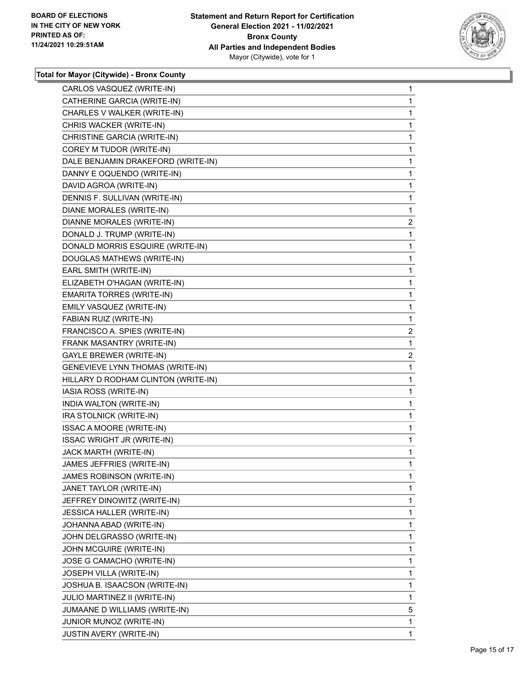

| CARLOS VASQUEZ (WRITE-IN)           | $\mathbf{1}$   |
|-------------------------------------|----------------|
| CATHERINE GARCIA (WRITE-IN)         | 1              |
| CHARLES V WALKER (WRITE-IN)         | 1              |
| CHRIS WACKER (WRITE-IN)             | 1              |
| CHRISTINE GARCIA (WRITE-IN)         | 1              |
| COREY M TUDOR (WRITE-IN)            | 1              |
| DALE BENJAMIN DRAKEFORD (WRITE-IN)  | 1              |
| DANNY E OQUENDO (WRITE-IN)          | 1              |
| DAVID AGROA (WRITE-IN)              | 1              |
| DENNIS F. SULLIVAN (WRITE-IN)       | 1              |
| <b>DIANE MORALES (WRITE-IN)</b>     | 1              |
| DIANNE MORALES (WRITE-IN)           | $\overline{2}$ |
| DONALD J. TRUMP (WRITE-IN)          | 1              |
| DONALD MORRIS ESQUIRE (WRITE-IN)    | 1              |
| DOUGLAS MATHEWS (WRITE-IN)          | 1              |
| EARL SMITH (WRITE-IN)               | 1              |
| ELIZABETH O'HAGAN (WRITE-IN)        | 1              |
| <b>EMARITA TORRES (WRITE-IN)</b>    | 1              |
| EMILY VASQUEZ (WRITE-IN)            | 1              |
| FABIAN RUIZ (WRITE-IN)              | 1              |
| FRANCISCO A. SPIES (WRITE-IN)       | $\overline{2}$ |
| FRANK MASANTRY (WRITE-IN)           | 1              |
| <b>GAYLE BREWER (WRITE-IN)</b>      | $\overline{2}$ |
| GENEVIEVE LYNN THOMAS (WRITE-IN)    | 1              |
| HILLARY D RODHAM CLINTON (WRITE-IN) | 1              |
| IASIA ROSS (WRITE-IN)               | 1              |
| INDIA WALTON (WRITE-IN)             | 1              |
| IRA STOLNICK (WRITE-IN)             | 1              |
| ISSAC A MOORE (WRITE-IN)            | 1              |
| ISSAC WRIGHT JR (WRITE-IN)          | 1              |
| JACK MARTH (WRITE-IN)               | 1              |
| JAMES JEFFRIES (WRITE-IN)           | 1              |
| JAMES ROBINSON (WRITE-IN)           | 1              |
| JANET TAYLOR (WRITE-IN)             | 1              |
| JEFFREY DINOWITZ (WRITE-IN)         | 1              |
| JESSICA HALLER (WRITE-IN)           | 1              |
| JOHANNA ABAD (WRITE-IN)             | 1              |
| JOHN DELGRASSO (WRITE-IN)           | 1              |
| JOHN MCGUIRE (WRITE-IN)             | 1              |
| JOSE G CAMACHO (WRITE-IN)           | 1              |
| JOSEPH VILLA (WRITE-IN)             | 1              |
| JOSHUA B. ISAACSON (WRITE-IN)       | 1              |
| JULIO MARTINEZ II (WRITE-IN)        | 1              |
| JUMAANE D WILLIAMS (WRITE-IN)       | 5              |
| JUNIOR MUNOZ (WRITE-IN)             | 1              |
| JUSTIN AVERY (WRITE-IN)             | 1              |
|                                     |                |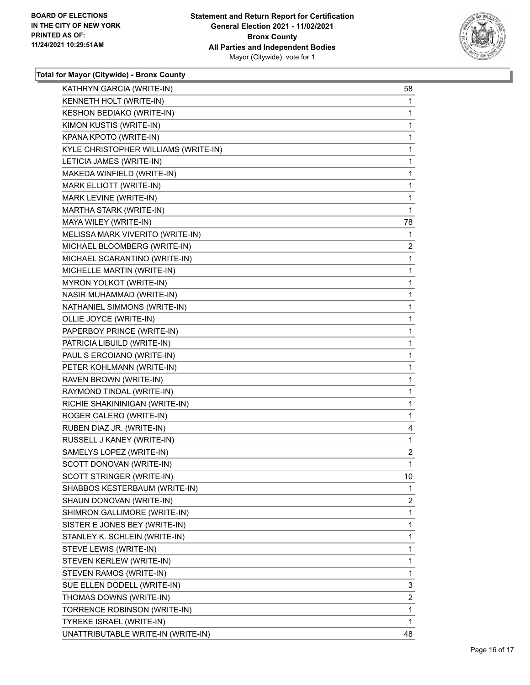

| KATHRYN GARCIA (WRITE-IN)            | 58 |
|--------------------------------------|----|
| KENNETH HOLT (WRITE-IN)              | 1  |
| KESHON BEDIAKO (WRITE-IN)            | 1  |
| KIMON KUSTIS (WRITE-IN)              | 1  |
| KPANA KPOTO (WRITE-IN)               | 1  |
| KYLE CHRISTOPHER WILLIAMS (WRITE-IN) | 1  |
| LETICIA JAMES (WRITE-IN)             | 1  |
| MAKEDA WINFIELD (WRITE-IN)           | 1  |
| MARK ELLIOTT (WRITE-IN)              | 1  |
| MARK LEVINE (WRITE-IN)               | 1  |
| MARTHA STARK (WRITE-IN)              | 1  |
| MAYA WILEY (WRITE-IN)                | 78 |
| MELISSA MARK VIVERITO (WRITE-IN)     | 1  |
| MICHAEL BLOOMBERG (WRITE-IN)         | 2  |
| MICHAEL SCARANTINO (WRITE-IN)        | 1  |
| MICHELLE MARTIN (WRITE-IN)           | 1  |
| MYRON YOLKOT (WRITE-IN)              | 1  |
| NASIR MUHAMMAD (WRITE-IN)            | 1  |
| NATHANIEL SIMMONS (WRITE-IN)         | 1  |
| OLLIE JOYCE (WRITE-IN)               | 1  |
| PAPERBOY PRINCE (WRITE-IN)           | 1  |
| PATRICIA LIBUILD (WRITE-IN)          | 1  |
| PAUL S ERCOIANO (WRITE-IN)           | 1  |
| PETER KOHLMANN (WRITE-IN)            | 1  |
| RAVEN BROWN (WRITE-IN)               | 1  |
| RAYMOND TINDAL (WRITE-IN)            | 1  |
| RICHIE SHAKININIGAN (WRITE-IN)       | 1  |
| ROGER CALERO (WRITE-IN)              | 1  |
| RUBEN DIAZ JR. (WRITE-IN)            | 4  |
| RUSSELL J KANEY (WRITE-IN)           | 1  |
| SAMELYS LOPEZ (WRITE-IN)             | 2  |
| SCOTT DONOVAN (WRITE-IN)             | 1  |
| SCOTT STRINGER (WRITE-IN)            | 10 |
| SHABBOS KESTERBAUM (WRITE-IN)        | 1  |
| SHAUN DONOVAN (WRITE-IN)             | 2  |
| SHIMRON GALLIMORE (WRITE-IN)         | 1  |
| SISTER E JONES BEY (WRITE-IN)        | 1  |
| STANLEY K. SCHLEIN (WRITE-IN)        | 1  |
| STEVE LEWIS (WRITE-IN)               | 1  |
| STEVEN KERLEW (WRITE-IN)             | 1  |
| STEVEN RAMOS (WRITE-IN)              | 1  |
| SUE ELLEN DODELL (WRITE-IN)          | 3  |
| THOMAS DOWNS (WRITE-IN)              | 2  |
| TORRENCE ROBINSON (WRITE-IN)         | 1  |
| TYREKE ISRAEL (WRITE-IN)             | 1  |
| UNATTRIBUTABLE WRITE-IN (WRITE-IN)   | 48 |
|                                      |    |